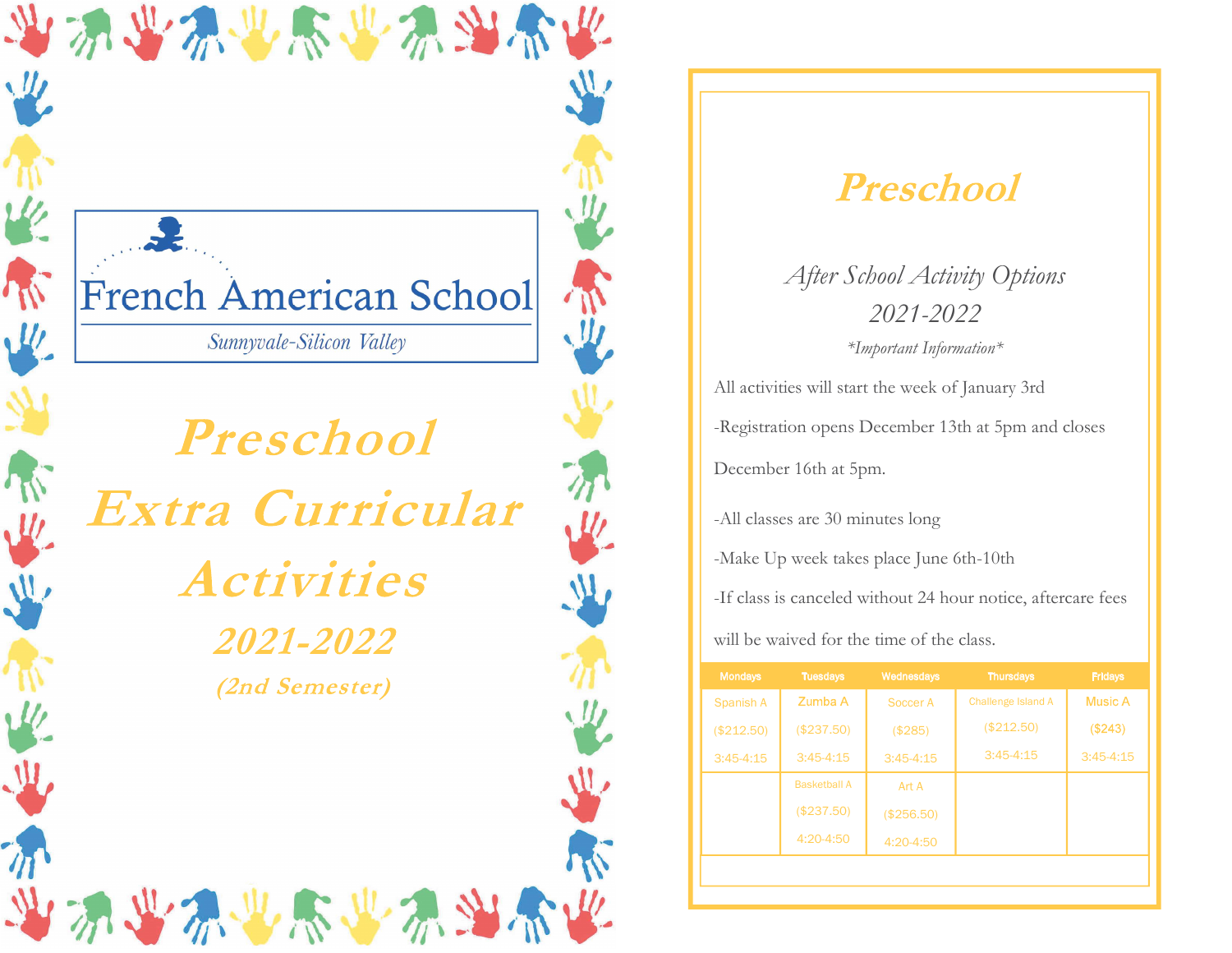# French American School

当为学界世界学系当部长

Sunnyvale-Silicon Valley

Preschool Extra Curricular **Activities** *2021-2022* (2nd Semester)

2. 业乐业不当不

## Preschool

After School Activity Options 2021-2022 \*Important Information\*

All activities will start the week of January 3rd -Registration opens December 13th at 5pm and closes December 16th at 5pm.

-All classes are 30 minutes long

-Make Up week takes place June 6th-10th

-If class is canceled without 24 hour notice, aftercare fees

will be waived for the time of the class.

| <b>Mondays</b> | <b>Tuesdays</b>     | Wednesdays  | <b>Thursdays</b>   | Fridays     |
|----------------|---------------------|-------------|--------------------|-------------|
| Spanish A      | Zumba A             | Soccer A    | Challenge Island A | Music A     |
| (\$212.50)     | (\$237.50)          | (\$285)     | (\$212.50)         | (\$243)     |
| $3:45-4:15$    | $3:45-4:15$         | $3:45-4:15$ | $3:45-4:15$        | $3:45-4:15$ |
|                | <b>Basketball A</b> | Art A       |                    |             |
|                | (\$237.50)          | (\$256.50)  |                    |             |
|                | 4:20-4:50           | 4:20-4:50   |                    |             |
|                |                     |             |                    |             |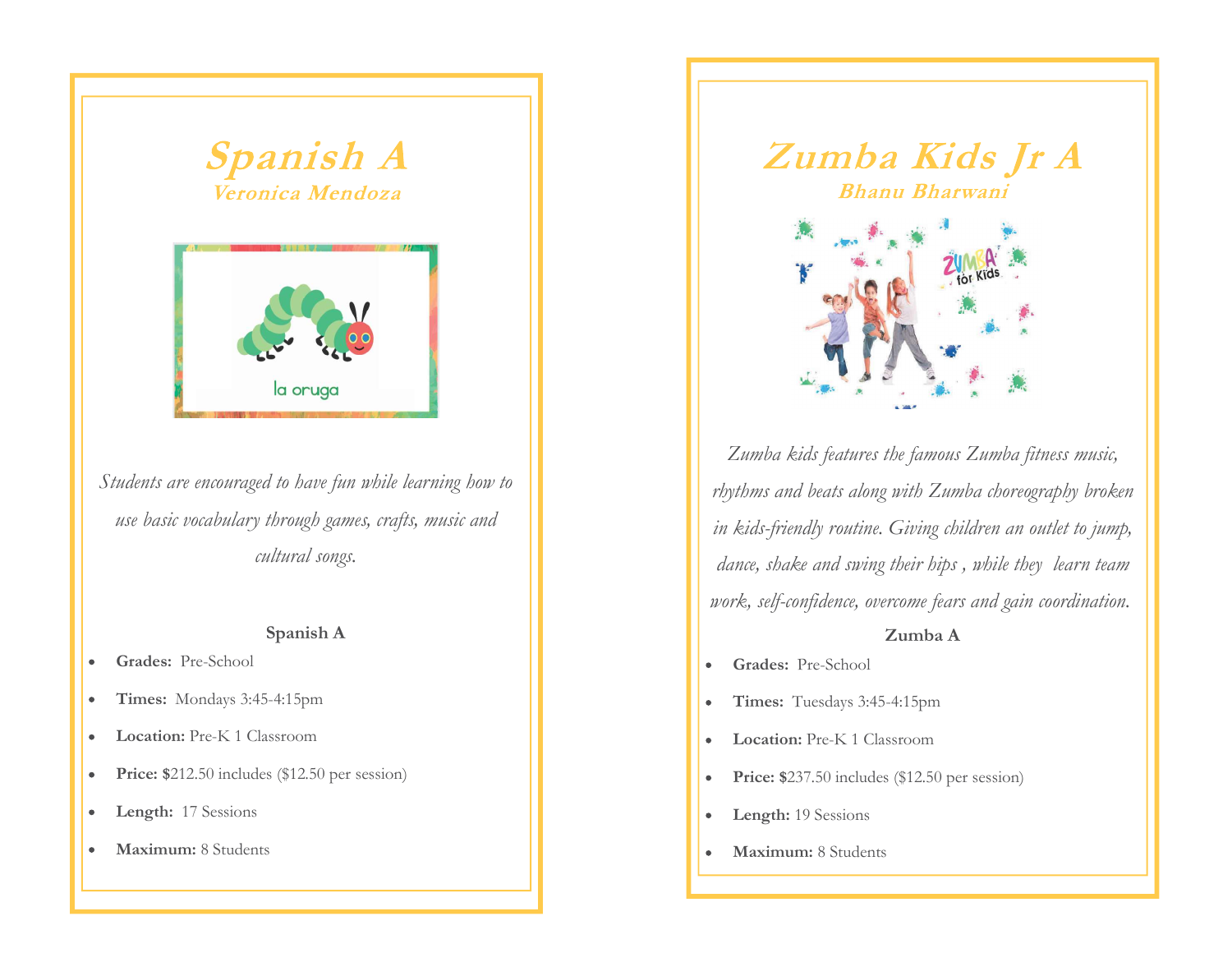



Students are encouraged to have fun while learning how to use basic vocabulary through games, crafts, music and cultural songs.

### Spanish A

- Grades: Pre-School  $\bullet$
- Times: Mondays 3:45-4:15pm  $\bullet$
- Location: Pre-K 1 Classroom  $\bullet$
- Price: \$212.50 includes (\$12.50 per session)  $\bullet$
- Length: 17 Sessions  $\bullet$
- Maximum: 8 Students  $\bullet$



Zumba kids features the famous Zumba fitness music, rhythms and beats along with Zumba choreography broken in kids-friendly routine. Giving children an outlet to jump, dance, shake and swing their hips , while they learn team work, self-confidence, overcome fears and gain coordination.

## Zumba A

- Grades: Pre-School  $\bullet$
- Times: Tuesdays 3:45-4:15pm  $\bullet$
- Location: Pre-K 1 Classroom
- Price: \$237.50 includes (\$12.50 per session)  $\bullet$
- Length: 19 Sessions  $\bullet$
- Maximum: 8 Students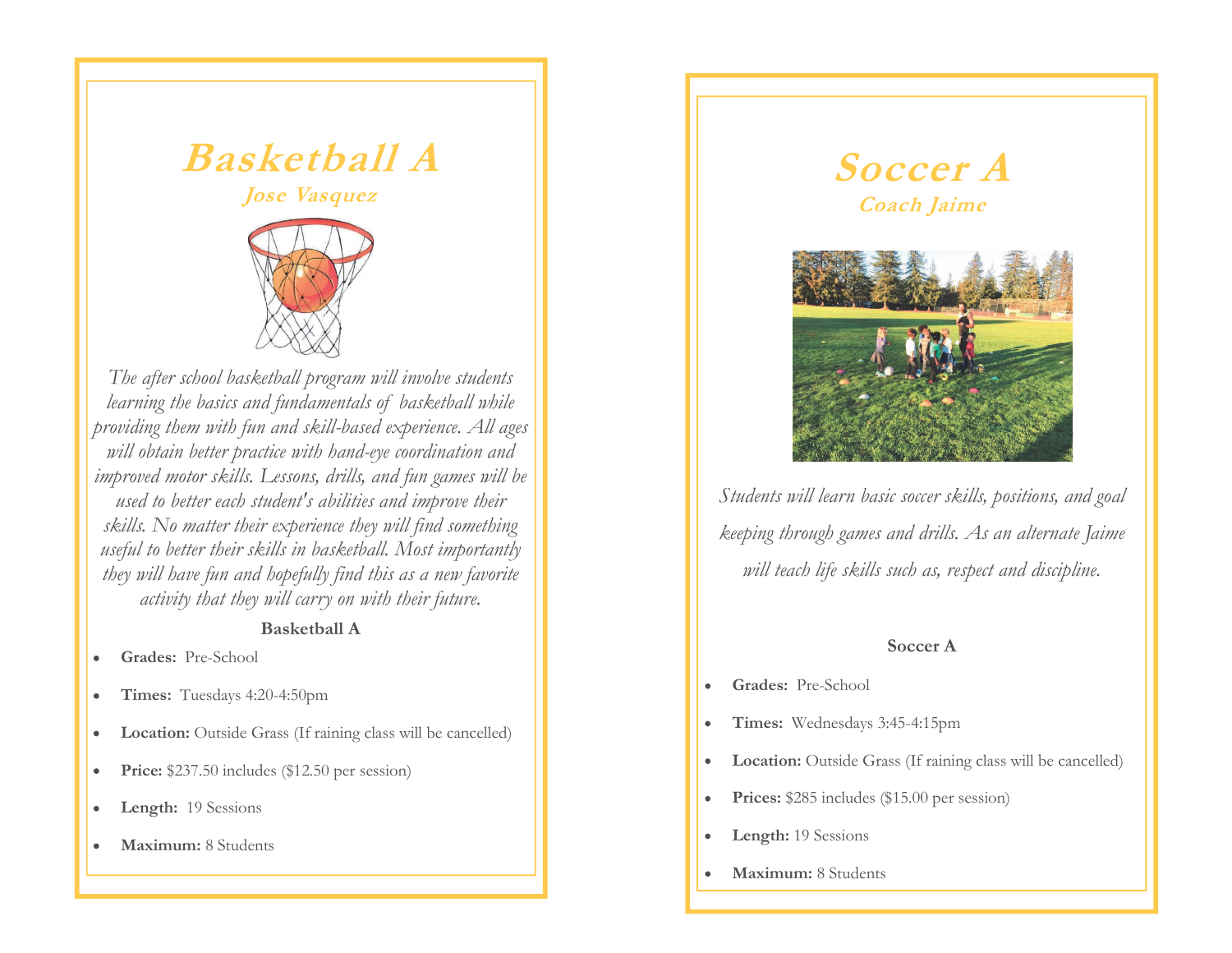

The after school basketball program will involve students  $\begin{array}{|c|c|} \hline \textbf{B} \textbf{a} \textbf{s} \textbf{k} \textbf{e} \textbf{t} \textbf{b} \textbf{a} \textbf{I} \textbf{I} \textbf{A} & & \textbf{\textit{Soc}} \\ \hline \textbf{A} \textbf{b} \textbf{c} \textbf{d} \textbf{c} \textbf{b} \textbf{c} \textbf{b} \textbf{c} \textbf{b} \textbf{c} \textbf{d} \textbf{d} \textbf{d} \textbf{d} \textbf{d} \textbf{d} \textbf{d} \textbf{d} \textbf{d} \textbf{d}$ providing them with fun and skill-based experience. All ages will obtain better practice with hand-eye coordination and improved motor skills. Lessons, drills, and fun games will be used to better each student's abilities and improve their skills. No matter their experience they will find something useful to better their skills in basketball. Most importantly they will have fun and hopefully find this as a new favorite activity that they will carry on with their future.

### Basketball A

- Grades: Pre-School
- Times: Tuesdays 4:20-4:50pm  $\bullet$
- Location: Outside Grass (If raining class will be cancelled)
- Price: \$237.50 includes (\$12.50 per session)  $\bullet$
- Length: 19 Sessions  $\bullet$
- Maximum: 8 Students



Students will learn basic soccer skills, positions, and goal keeping through games and drills. As an alternate Jaime will teach life skills such as, respect and discipline.

### Soccer A

- Grades: Pre-School
- Times: Wednesdays 3:45-4:15pm  $\bullet$
- Location: Outside Grass (If raining class will be cancelled)
- Prices: \$285 includes (\$15.00 per session)  $\bullet$
- Length: 19 Sessions
- Maximum: 8 Students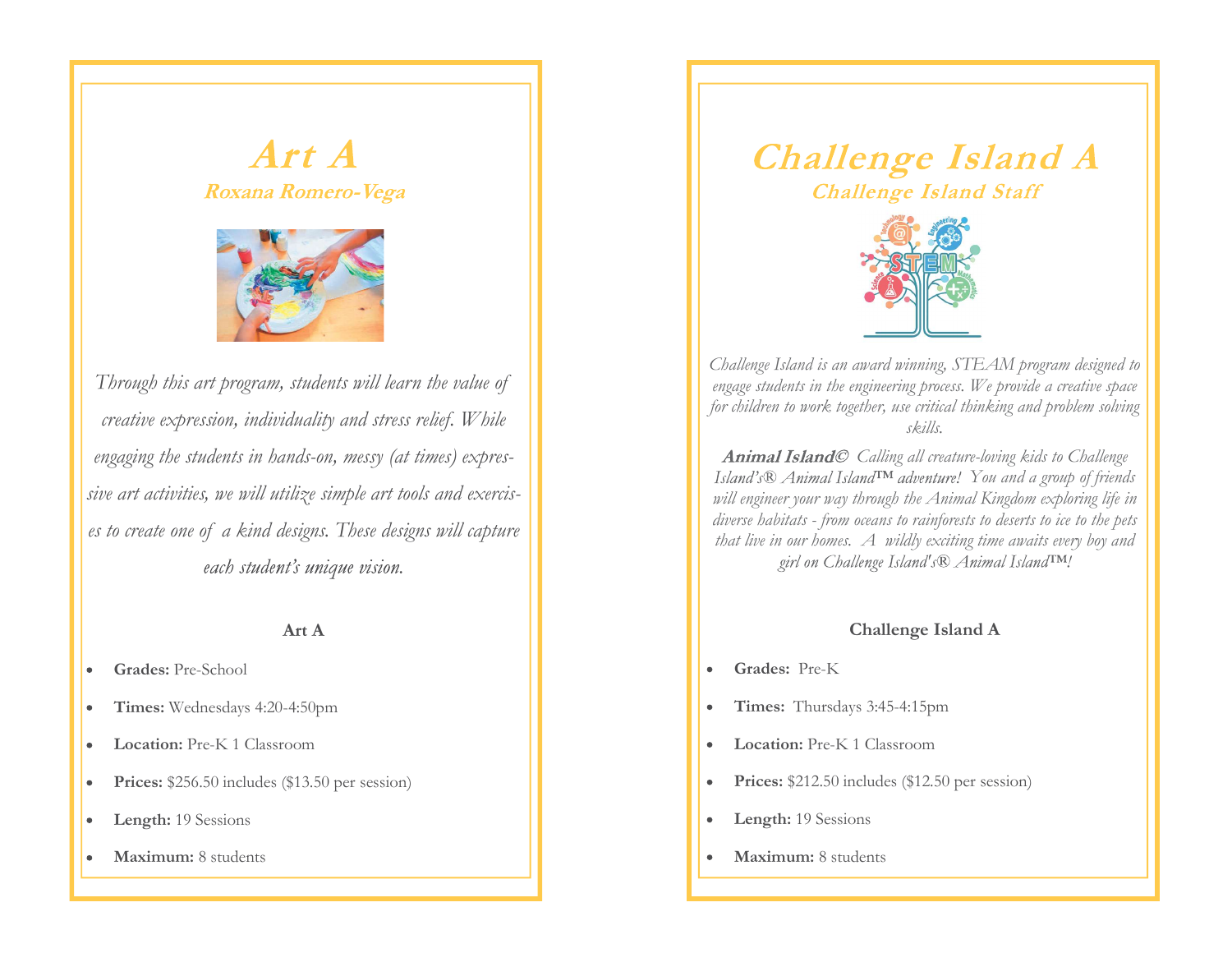

Art A<br>
Roxana Romero-Vega<br>
Through this art program, students will learn the value of<br>
Through this art program, students will learn the value of<br>
Through this art program, students will learn the value of<br>
The control of creative expression, individuality and stress relief. While engaging the students in hands-on, messy (at times) expressive art activities, we will utilize simple art tools and exercis-**Exama Romero-Vega**<br> **Exama Romero-Vega**<br>
Through this art program, students will learn the value of<br>
creative expression, individuality and stress relief. While<br>
engaging the students in hands-on, messy (at times) expres-

#### Art A

- Grades: Pre-School  $\bullet$
- Times: Wednesdays 4:20-4:50pm  $\bullet$
- Location: Pre-K 1 Classroom  $\bullet$
- Prices: \$256.50 includes (\$13.50 per session)  $\bullet$
- Length: 19 Sessions  $\bullet$
- Maximum: 8 students  $\bullet$



Challenge Island is an award winning, STEAM program designed to engage students in the engineering process. We provide a creative space for children to work together, use critical thinking and problem solving skills.

Animal Island© Calling all creature-loving kids to Challenge Island's  $\mathbb B$  Animal Island  $T_M$  adventure! You and a group of friends will engineer your way through the Animal Kingdom exploring life in **Challenge Island Staff**<br>
Challenge Island Staff<br>
Challenge Island is an award winning, STEAM program designed to<br>
condenge Island is an award winning, STEAM program designed to<br>
engage students in the engineering process Challenge Island Staff<br>
Challenge Island Staff<br>
Challenge Island is an award winning, STEAM pregram designed to<br>
The propage students in the engineering process. We provide a creative space<br>
or children to work together, u

### Challenge Island A

- Grades: Pre-K
- Times: Thursdays 3:45-4:15pm  $\bullet$
- Location: Pre-K 1 Classroom
- Prices: \$212.50 includes (\$12.50 per session)  $\bullet$
- Length: 19 Sessions  $\bullet$
- Maximum: 8 students